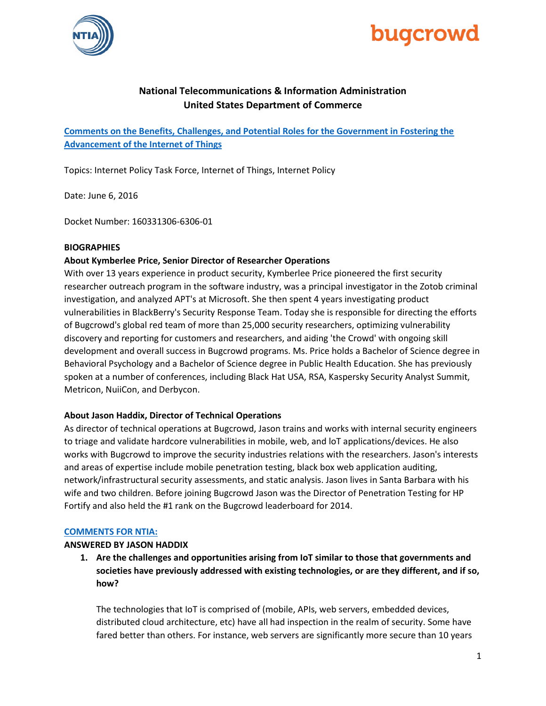



# **National Telecommunications & Information Administration United States Department of Commerce**

**[Comments on the Benefits, Challenges, and Potential Roles for the Government in Fostering the](https://www.ntia.doc.gov/federal-register-notice/2016/comments-potential-roles-government-fostering-advancement-internet-of-things)  [Advancement of the Internet of Things](https://www.ntia.doc.gov/federal-register-notice/2016/comments-potential-roles-government-fostering-advancement-internet-of-things)**

Topics: Internet Policy Task Force, Internet of Things, Internet Policy

Date: June 6, 2016

Docket Number: 160331306-6306-01

#### **BIOGRAPHIES**

#### **About Kymberlee Price, Senior Director of Researcher Operations**

With over 13 years experience in product security, Kymberlee Price pioneered the first security researcher outreach program in the software industry, was a principal investigator in the Zotob criminal investigation, and analyzed APT's at Microsoft. She then spent 4 years investigating product vulnerabilities in BlackBerry's Security Response Team. Today she is responsible for directing the efforts of Bugcrowd's global red team of more than 25,000 security researchers, optimizing vulnerability discovery and reporting for customers and researchers, and aiding 'the Crowd' with ongoing skill development and overall success in Bugcrowd programs. Ms. Price holds a Bachelor of Science degree in Behavioral Psychology and a Bachelor of Science degree in Public Health Education. She has previously spoken at a number of conferences, including Black Hat USA, RSA, Kaspersky Security Analyst Summit, Metricon, NuiiCon, and Derbycon.

#### **About Jason Haddix, Director of Technical Operations**

As director of technical operations at Bugcrowd, Jason trains and works with internal security engineers to triage and validate hardcore vulnerabilities in mobile, web, and loT applications/devices. He also works with Bugcrowd to improve the security industries relations with the researchers. Jason's interests and areas of expertise include mobile penetration testing, black box web application auditing, network/infrastructural security assessments, and static analysis. Jason lives in Santa Barbara with his wife and two children. Before joining Bugcrowd Jason was the Director of Penetration Testing for HP Fortify and also held the #1 rank on the Bugcrowd leaderboard for 2014.

#### **[COMMENTS FOR NTIA:](https://www.ntia.doc.gov/files/ntia/publications/bugcrowd.pdf)**

#### **ANSWERED BY JASON HADDIX**

**1. Are the challenges and opportunities arising from IoT similar to those that governments and societies have previously addressed with existing technologies, or are they different, and if so, how?** 

The technologies that IoT is comprised of (mobile, APIs, web servers, embedded devices, distributed cloud architecture, etc) have all had inspection in the realm of security. Some have fared better than others. For instance, web servers are significantly more secure than 10 years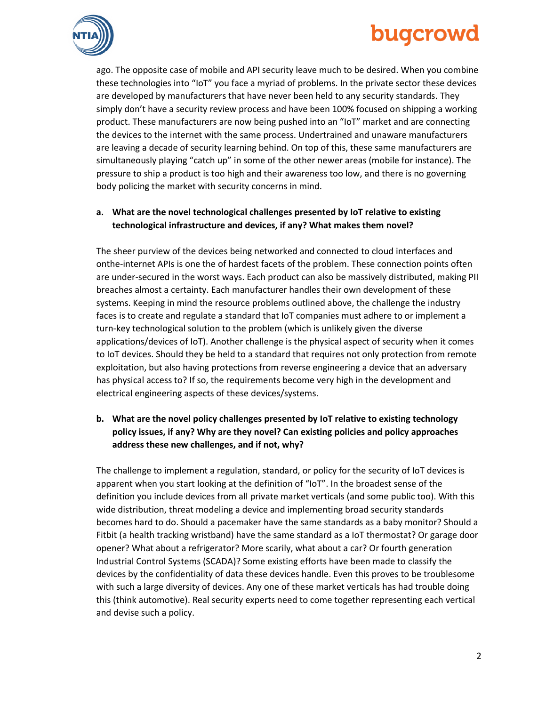# bugcrowd



ago. The opposite case of mobile and API security leave much to be desired. When you combine these technologies into "IoT" you face a myriad of problems. In the private sector these devices are developed by manufacturers that have never been held to any security standards. They simply don't have a security review process and have been 100% focused on shipping a working product. These manufacturers are now being pushed into an "IoT" market and are connecting the devices to the internet with the same process. Undertrained and unaware manufacturers are leaving a decade of security learning behind. On top of this, these same manufacturers are simultaneously playing "catch up" in some of the other newer areas (mobile for instance). The pressure to ship a product is too high and their awareness too low, and there is no governing body policing the market with security concerns in mind.

## **a. What are the novel technological challenges presented by IoT relative to existing technological infrastructure and devices, if any? What makes them novel?**

The sheer purview of the devices being networked and connected to cloud interfaces and onthe-internet APIs is one the of hardest facets of the problem. These connection points often are under-secured in the worst ways. Each product can also be massively distributed, making PII breaches almost a certainty. Each manufacturer handles their own development of these systems. Keeping in mind the resource problems outlined above, the challenge the industry faces is to create and regulate a standard that IoT companies must adhere to or implement a turn-key technological solution to the problem (which is unlikely given the diverse applications/devices of IoT). Another challenge is the physical aspect of security when it comes to IoT devices. Should they be held to a standard that requires not only protection from remote exploitation, but also having protections from reverse engineering a device that an adversary has physical access to? If so, the requirements become very high in the development and electrical engineering aspects of these devices/systems.

# **b. What are the novel policy challenges presented by IoT relative to existing technology policy issues, if any? Why are they novel? Can existing policies and policy approaches address these new challenges, and if not, why?**

The challenge to implement a regulation, standard, or policy for the security of IoT devices is apparent when you start looking at the definition of "IoT". In the broadest sense of the definition you include devices from all private market verticals (and some public too). With this wide distribution, threat modeling a device and implementing broad security standards becomes hard to do. Should a pacemaker have the same standards as a baby monitor? Should a Fitbit (a health tracking wristband) have the same standard as a IoT thermostat? Or garage door opener? What about a refrigerator? More scarily, what about a car? Or fourth generation Industrial Control Systems (SCADA)? Some existing efforts have been made to classify the devices by the confidentiality of data these devices handle. Even this proves to be troublesome with such a large diversity of devices. Any one of these market verticals has had trouble doing this (think automotive). Real security experts need to come together representing each vertical and devise such a policy.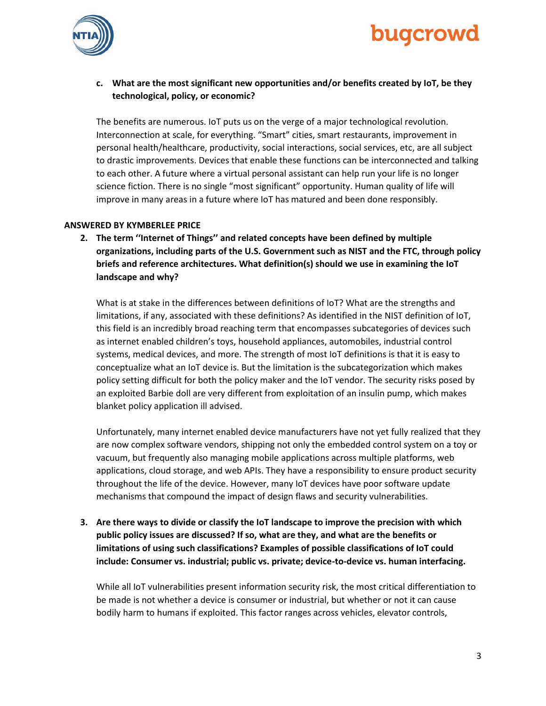



### **c. What are the most significant new opportunities and/or benefits created by IoT, be they technological, policy, or economic?**

The benefits are numerous. IoT puts us on the verge of a major technological revolution. Interconnection at scale, for everything. "Smart" cities, smart restaurants, improvement in personal health/healthcare, productivity, social interactions, social services, etc, are all subject to drastic improvements. Devices that enable these functions can be interconnected and talking to each other. A future where a virtual personal assistant can help run your life is no longer science fiction. There is no single "most significant" opportunity. Human quality of life will improve in many areas in a future where IoT has matured and been done responsibly.

#### **ANSWERED BY KYMBERLEE PRICE**

**2. The term ''Internet of Things'' and related concepts have been defined by multiple organizations, including parts of the U.S. Government such as NIST and the FTC, through policy briefs and reference architectures. What definition(s) should we use in examining the IoT landscape and why?** 

What is at stake in the differences between definitions of IoT? What are the strengths and limitations, if any, associated with these definitions? As identified in the NIST definition of IoT, this field is an incredibly broad reaching term that encompasses subcategories of devices such as internet enabled children's toys, household appliances, automobiles, industrial control systems, medical devices, and more. The strength of most IoT definitions is that it is easy to conceptualize what an IoT device is. But the limitation is the subcategorization which makes policy setting difficult for both the policy maker and the IoT vendor. The security risks posed by an exploited Barbie doll are very different from exploitation of an insulin pump, which makes blanket policy application ill advised.

Unfortunately, many internet enabled device manufacturers have not yet fully realized that they are now complex software vendors, shipping not only the embedded control system on a toy or vacuum, but frequently also managing mobile applications across multiple platforms, web applications, cloud storage, and web APIs. They have a responsibility to ensure product security throughout the life of the device. However, many IoT devices have poor software update mechanisms that compound the impact of design flaws and security vulnerabilities.

**3. Are there ways to divide or classify the IoT landscape to improve the precision with which public policy issues are discussed? If so, what are they, and what are the benefits or limitations of using such classifications? Examples of possible classifications of IoT could include: Consumer vs. industrial; public vs. private; device-to-device vs. human interfacing.** 

While all IoT vulnerabilities present information security risk, the most critical differentiation to be made is not whether a device is consumer or industrial, but whether or not it can cause bodily harm to humans if exploited. This factor ranges across vehicles, elevator controls,